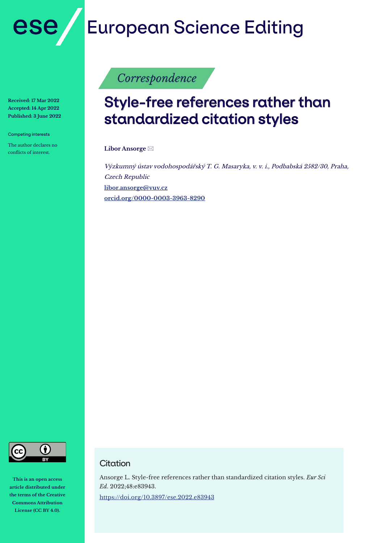

**Received: 17 Mar 2022 Accepted: 14 Apr 2022 Published: 3 June 2022**

Competing interests

The author declares no conflicts of interest.

# **European Science Editing**

Correspondence

## Style-free references rather than standardized citation styles

**Libor Ansorge** 

Výzkumný ústav vodohospodářský T. G. Masaryka, v. v. i., Podbabská 2582/30, Praha, Czech Republic **libor.ansorge@vuv.cz orcid.org/0000-0003-3963-8290**



**This is an open access article distributed under the terms of the Creative Commons Attribution License (CC BY 4.0).**

### **Citation**

Ansorge L. Style-free references rather than standardized citation styles. *Eur Sci Ed*. 2022;48:e83943. https://doi.org/10.3897/ese.2022.e83943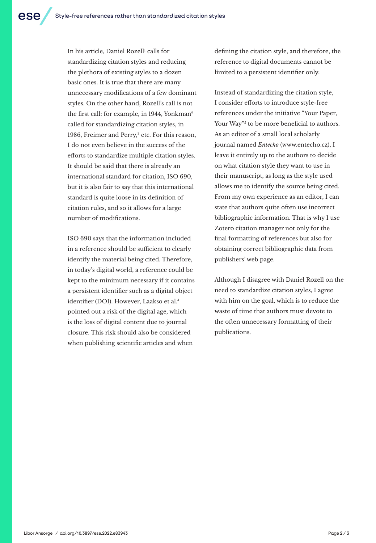In his article, Daniel Rozell<sup>i</sup> calls for standardizing citation styles and reducing the plethora of existing styles to a dozen basic ones. It is true that there are many unnecessary modifications of a few dominant styles. On the other hand, Rozell's call is not the first call: for example, in 1944, Yonkman $2$ called for standardizing citation styles, in 1986, Freimer and Perry,<sup>3</sup> etc. For this reason, I do not even believe in the success of the efforts to standardize multiple citation styles. It should be said that there is already an international standard for citation, ISO 690, but it is also fair to say that this international standard is quite loose in its definition of citation rules, and so it allows for a large number of modifications.

ISO 690 says that the information included in a reference should be sufficient to clearly identify the material being cited. Therefore, in today's digital world, a reference could be kept to the minimum necessary if it contains a persistent identifier such as a digital object identifier (DOI). However, Laakso et al.4 pointed out a risk of the digital age, which is the loss of digital content due to journal closure. This risk should also be considered when publishing scientific articles and when

defining the citation style, and therefore, the reference to digital documents cannot be limited to a persistent identifier only.

Instead of standardizing the citation style, I consider efforts to introduce style-free references under the initiative "Your Paper, Your Way"<sup>3</sup> to be more beneficial to authors. As an editor of a small local scholarly journal named *Entecho* (www.entecho.cz), I leave it entirely up to the authors to decide on what citation style they want to use in their manuscript, as long as the style used allows me to identify the source being cited. From my own experience as an editor, I can state that authors quite often use incorrect bibliographic information. That is why I use Zotero citation manager not only for the final formatting of references but also for obtaining correct bibliographic data from publishers' web page.

Although I disagree with Daniel Rozell on the need to standardize citation styles, I agree with him on the goal, which is to reduce the waste of time that authors must devote to the often unnecessary formatting of their publications.